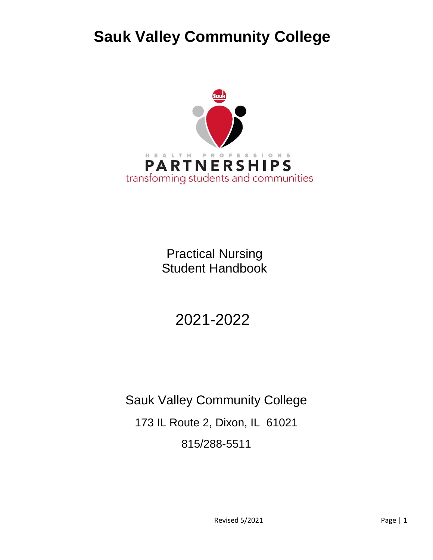# **Sauk Valley Community College**



Practical Nursing Student Handbook

2021-2022

Sauk Valley Community College 173 IL Route 2, Dixon, IL 61021 815/288-5511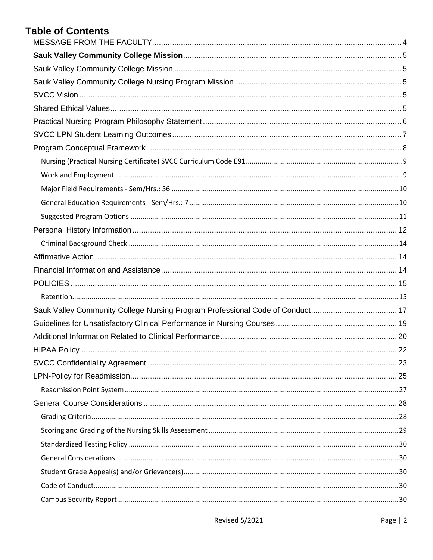# **Table of Contents**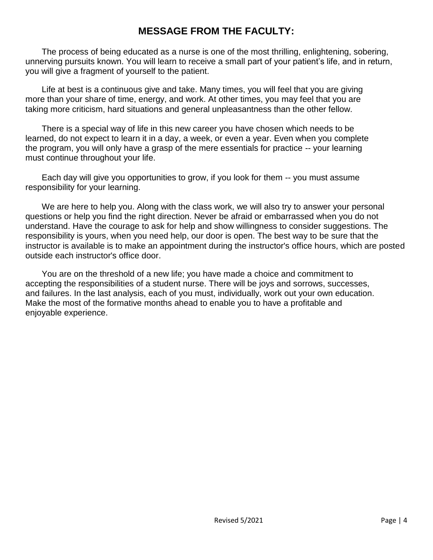# **MESSAGE FROM THE FACULTY:**

<span id="page-3-0"></span>The process of being educated as a nurse is one of the most thrilling, enlightening, sobering, unnerving pursuits known. You will learn to receive a small part of your patient's life, and in return, you will give a fragment of yourself to the patient.

Life at best is a continuous give and take. Many times, you will feel that you are giving more than your share of time, energy, and work. At other times, you may feel that you are taking more criticism, hard situations and general unpleasantness than the other fellow.

There is a special way of life in this new career you have chosen which needs to be learned, do not expect to learn it in a day, a week, or even a year. Even when you complete the program, you will only have a grasp of the mere essentials for practice -- your learning must continue throughout your life.

Each day will give you opportunities to grow, if you look for them -- you must assume responsibility for your learning.

We are here to help you. Along with the class work, we will also try to answer your personal questions or help you find the right direction. Never be afraid or embarrassed when you do not understand. Have the courage to ask for help and show willingness to consider suggestions. The responsibility is yours, when you need help, our door is open. The best way to be sure that the instructor is available is to make an appointment during the instructor's office hours, which are posted outside each instructor's office door.

You are on the threshold of a new life; you have made a choice and commitment to accepting the responsibilities of a student nurse. There will be joys and sorrows, successes, and failures. In the last analysis, each of you must, individually, work out your own education. Make the most of the formative months ahead to enable you to have a profitable and enjoyable experience.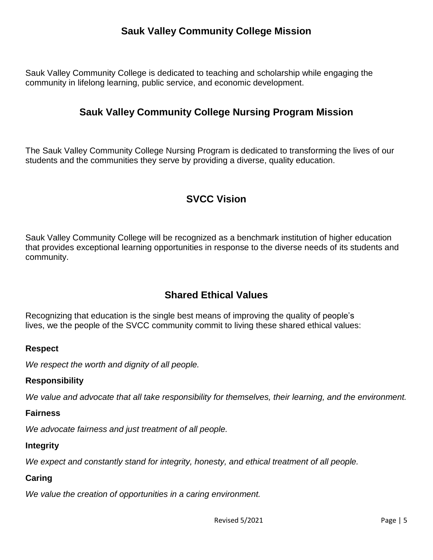# **Sauk Valley Community College Mission**

<span id="page-4-1"></span><span id="page-4-0"></span>Sauk Valley Community College is dedicated to teaching and scholarship while engaging the community in lifelong learning, public service, and economic development.

### **Sauk Valley Community College Nursing Program Mission**

The Sauk Valley Community College Nursing Program is dedicated to transforming the lives of our students and the communities they serve by providing a diverse, quality education.

# **SVCC Vision**

<span id="page-4-2"></span>Sauk Valley Community College will be recognized as a benchmark institution of higher education that provides exceptional learning opportunities in response to the diverse needs of its students and community.

# **Shared Ethical Values**

<span id="page-4-3"></span>Recognizing that education is the single best means of improving the quality of people's lives, we the people of the SVCC community commit to living these shared ethical values:

#### **Respect**

*We respect the worth and dignity of all people.*

#### **Responsibility**

*We value and advocate that all take responsibility for themselves, their learning, and the environment.*

#### **Fairness**

*We advocate fairness and just treatment of all people.*

#### **Integrity**

*We expect and constantly stand for integrity, honesty, and ethical treatment of all people.*

#### **Caring**

*We value the creation of opportunities in a caring environment.*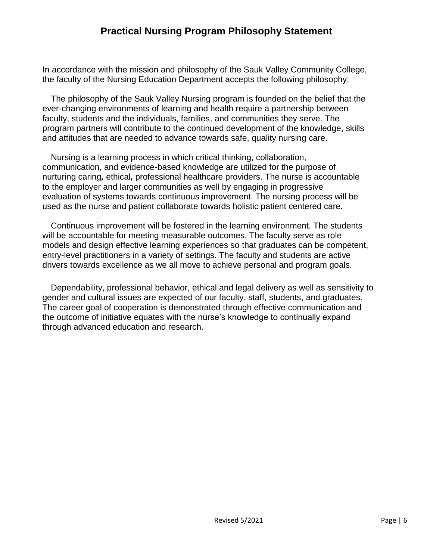# **Practical Nursing Program Philosophy Statement**

<span id="page-5-0"></span>In accordance with the mission and philosophy of the Sauk Valley Community College, the faculty of the Nursing Education Department accepts the following philosophy:

The philosophy of the Sauk Valley Nursing program is founded on the belief that the ever-changing environments of learning and health require a partnership between faculty, students and the individuals, families, and communities they serve. The program partners will contribute to the continued development of the knowledge, skills and attitudes that are needed to advance towards safe, quality nursing care.

Nursing is a learning process in which critical thinking, collaboration, communication, and evidence-based knowledge are utilized for the purpose of nurturing caring*,* ethical*,* professional healthcare providers. The nurse is accountable to the employer and larger communities as well by engaging in progressive evaluation of systems towards continuous improvement. The nursing process will be used as the nurse and patient collaborate towards holistic patient centered care.

Continuous improvement will be fostered in the learning environment. The students will be accountable for meeting measurable outcomes. The faculty serve as role models and design effective learning experiences so that graduates can be competent, entry-level practitioners in a variety of settings. The faculty and students are active drivers towards excellence as we all move to achieve personal and program goals.

Dependability, professional behavior, ethical and legal delivery as well as sensitivity to gender and cultural issues are expected of our faculty, staff, students, and graduates. The career goal of cooperation is demonstrated through effective communication and the outcome of initiative equates with the nurse's knowledge to continually expand through advanced education and research.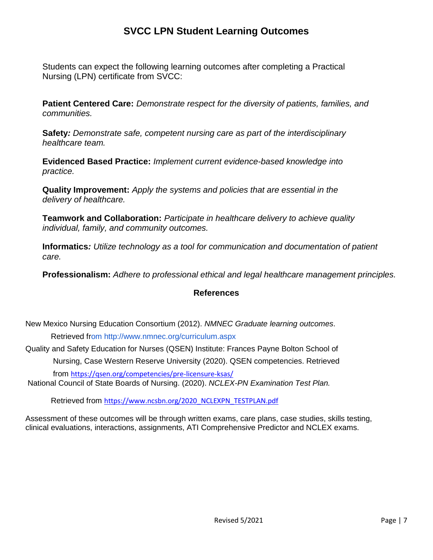# **SVCC LPN Student Learning Outcomes**

<span id="page-6-0"></span>Students can expect the following learning outcomes after completing a Practical Nursing (LPN) certificate from SVCC:

**Patient Centered Care:** *Demonstrate respect for the diversity of patients, families, and communities.*

**Safety***: Demonstrate safe, competent nursing care as part of the interdisciplinary healthcare team.*

**Evidenced Based Practice:** *Implement current evidence-based knowledge into practice.*

**Quality Improvement:** *Apply the systems and policies that are essential in the delivery of healthcare.*

**Teamwork and Collaboration:** *Participate in healthcare delivery to achieve quality individual, family, and community outcomes.*

**Informatics***: Utilize technology as a tool for communication and documentation of patient care.*

**Professionalism:** *Adhere to professional ethical and legal healthcare management principles.*

#### **References**

New Mexico Nursing Education Consortium (2012). *NMNEC Graduate learning outcomes*. Retrieved f[rom http://www.nmnec.org/curriculum.aspx](http://www.nmnec.org/curriculum.aspx)

Quality and Safety Education for Nurses (QSEN) Institute: Frances Payne Bolton School of Nursing, Case Western Reserve University (2020). QSEN competencies. Retrieved from <https://qsen.org/competencies/pre-licensure-ksas/>

National Council of State Boards of Nursing. (2020). *NCLEX-PN Examination Test Plan.*

Retrieved from [https://www.ncsbn.org/2020\\_NCLEXPN\\_TESTPLAN.pdf](https://www.ncsbn.org/2020_NCLEXPN_TESTPLAN.pdf)

Assessment of these outcomes will be through written exams, care plans, case studies, skills testing, clinical evaluations, interactions, assignments, ATI Comprehensive Predictor and NCLEX exams.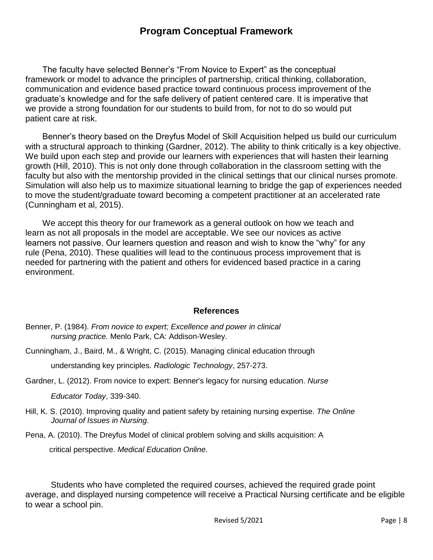### **Program Conceptual Framework**

<span id="page-7-0"></span>The faculty have selected Benner's "From Novice to Expert" as the conceptual framework or model to advance the principles of partnership, critical thinking, collaboration, communication and evidence based practice toward continuous process improvement of the graduate's knowledge and for the safe delivery of patient centered care. It is imperative that we provide a strong foundation for our students to build from, for not to do so would put patient care at risk.

Benner's theory based on the Dreyfus Model of Skill Acquisition helped us build our curriculum with a structural approach to thinking (Gardner, 2012). The ability to think critically is a key objective. We build upon each step and provide our learners with experiences that will hasten their learning growth (Hill, 2010). This is not only done through collaboration in the classroom setting with the faculty but also with the mentorship provided in the clinical settings that our clinical nurses promote. Simulation will also help us to maximize situational learning to bridge the gap of experiences needed to move the student/graduate toward becoming a competent practitioner at an accelerated rate (Cunningham et al, 2015).

We accept this theory for our framework as a general outlook on how we teach and learn as not all proposals in the model are acceptable. We see our novices as active learners not passive. Our learners question and reason and wish to know the "why" for any rule (Pena, 2010). These qualities will lead to the continuous process improvement that is needed for partnering with the patient and others for evidenced based practice in a caring environment.

#### **References**

- Benner, P. (1984). *From novice to expert; Excellence and power in clinical nursing practice.* Menlo Park, CA: Addison-Wesley.
- Cunningham, J., Baird, M., & Wright, C. (2015). Managing clinical education through

understanding key principles. *Radiologic Technology*, 257-273.

Gardner, L. (2012). From novice to expert: Benner's legacy for nursing education. *Nurse*

*Educator Today*, 339-340.

Hill, K. S. (2010). Improving quality and patient safety by retaining nursing expertise. *The Online Journal of Issues in Nursing*.

Pena, A. (2010). The Dreyfus Model of clinical problem solving and skills acquisition: A

critical perspective. *Medical Education Online*.

Students who have completed the required courses, achieved the required grade point average, and displayed nursing competence will receive a Practical Nursing certificate and be eligible to wear a school pin.

Revised 5/2021 **Page | 8**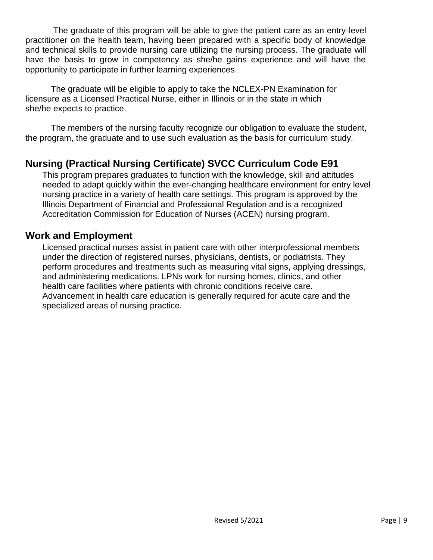The graduate of this program will be able to give the patient care as an entry-level practitioner on the health team, having been prepared with a specific body of knowledge and technical skills to provide nursing care utilizing the nursing process. The graduate will have the basis to grow in competency as she/he gains experience and will have the opportunity to participate in further learning experiences.

The graduate will be eligible to apply to take the NCLEX-PN Examination for licensure as a Licensed Practical Nurse, either in Illinois or in the state in which she/he expects to practice.

The members of the nursing faculty recognize our obligation to evaluate the student, the program, the graduate and to use such evaluation as the basis for curriculum study.

# <span id="page-8-0"></span>**Nursing (Practical Nursing Certificate) SVCC Curriculum Code E91**

This program prepares graduates to function with the knowledge, skill and attitudes needed to adapt quickly within the ever-changing healthcare environment for entry level nursing practice in a variety of health care settings. This program is approved by the Illinois Department of Financial and Professional Regulation and is a recognized Accreditation Commission for Education of Nurses (ACEN) nursing program.

### <span id="page-8-1"></span>**Work and Employment**

Licensed practical nurses assist in patient care with other interprofessional members under the direction of registered nurses, physicians, dentists, or podiatrists. They perform procedures and treatments such as measuring vital signs, applying dressings, and administering medications. LPNs work for nursing homes, clinics, and other health care facilities where patients with chronic conditions receive care. Advancement in health care education is generally required for acute care and the specialized areas of nursing practice.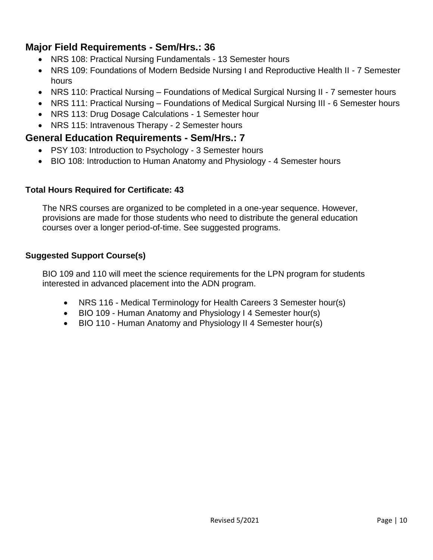# <span id="page-9-0"></span>**Major Field Requirements - Sem/Hrs.: 36**

- NRS 108: [Practical Nursing](http://catalog.svcc.edu/preview_program.php?catoid=8&poid=948&hl=LPN&returnto=search) Fundamentals 13 Semester hours
- [NRS 109:](http://catalog.svcc.edu/preview_program.php?catoid=8&poid=948&hl=LPN&returnto=search) Foundations of Modern Bedside Nursing I and Reproductive Health II 7 Semester hours
- [NRS 110:](http://catalog.svcc.edu/preview_program.php?catoid=8&poid=948&hl=LPN&returnto=search) Practical Nursing Foundations of Medical Surgical Nursing II 7 semester hours
- [NRS 111:](http://catalog.svcc.edu/preview_program.php?catoid=8&poid=948&hl=LPN&returnto=search) Practical Nursing Foundations of Medical Surgical Nursing III 6 Semester hours
- NRS 113: [Drug Dosage Calculations](http://catalog.svcc.edu/preview_program.php?catoid=8&poid=948&hl=LPN&returnto=search) 1 Semester hour
- NRS 115: [Intravenous Therapy](http://catalog.svcc.edu/preview_program.php?catoid=8&poid=948&hl=LPN&returnto=search) 2 Semester hours

#### <span id="page-9-1"></span>**General Education Requirements - Sem/Hrs.: 7**

- PSY 103: [Introduction to Psychology](http://catalog.svcc.edu/preview_program.php?catoid=8&poid=948&hl=LPN&returnto=search) 3 Semester hours
- BIO 108: [Introduction to Human Anatomy and Physiology](http://catalog.svcc.edu/preview_program.php?catoid=8&poid=948&hl=LPN&returnto=search) 4 Semester hours

#### **Total Hours Required for Certificate: 43**

The NRS courses are organized to be completed in a one-year sequence. However, provisions are made for those students who need to distribute the general education courses over a longer period-of-time. See suggested programs.

#### **Suggested Support Course(s)**

BIO 109 and 110 will meet the science requirements for the LPN program for students interested in advanced placement into the ADN program.

- NRS 116 [Medical Terminology for Health Careers](http://catalog.svcc.edu/preview_program.php?catoid=8&poid=948&hl=LPN&returnto=search) 3 Semester hour(s)
- BIO 109 [Human Anatomy and Physiology I](http://catalog.svcc.edu/preview_program.php?catoid=8&poid=948&hl=LPN&returnto=search) 4 Semester hour(s)
- BIO 110 [Human Anatomy and Physiology II](http://catalog.svcc.edu/preview_program.php?catoid=8&poid=948&hl=LPN&returnto=search) 4 Semester hour(s)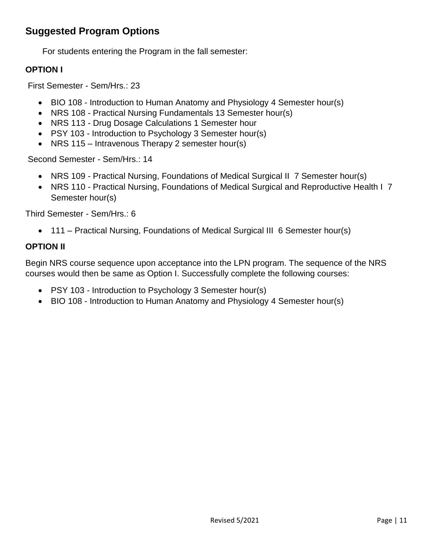# <span id="page-10-0"></span>**Suggested Program Options**

For students entering the Program in the fall semester:

#### **OPTION I**

First Semester - Sem/Hrs.: 23

- BIO 108 [Introduction to Human Anatomy and Physiology](http://catalog.svcc.edu/preview_program.php?catoid=8&poid=948&hl=LPN&returnto=search) 4 Semester hour(s)
- [NRS 108 -](http://catalog.svcc.edu/preview_program.php?catoid=8&poid=948&hl=LPN&returnto=search) Practical Nursing Fundamentals 13 Semester hour(s)
- NRS 113 [Drug Dosage Calculations](http://catalog.svcc.edu/preview_program.php?catoid=8&poid=948&hl=LPN&returnto=search) 1 Semester hour
- PSY 103 [Introduction to Psychology](http://catalog.svcc.edu/preview_program.php?catoid=8&poid=948&hl=LPN&returnto=search) 3 Semester hour(s)
- NRS 115 Intravenous Therapy 2 semester hour(s)

Second Semester - Sem/Hrs.: 14

- [NRS 109 -](http://catalog.svcc.edu/preview_program.php?catoid=8&poid=948&hl=LPN&returnto=search) Practical Nursing, Foundations of Medical Surgical II 7 Semester hour(s)
- [NRS 110 -](http://catalog.svcc.edu/preview_program.php?catoid=8&poid=948&hl=LPN&returnto=search) Practical Nursing, Foundations of Medical Surgical and Reproductive Health I 7 Semester hour(s)

Third Semester - Sem/Hrs.: [6](http://catalog.svcc.edu/preview_program.php?catoid=8&poid=948&hl=LPN&returnto=search)

• [111 –](http://catalog.svcc.edu/preview_program.php?catoid=8&poid=948&hl=LPN&returnto=search) Practical Nursing, Foundations of Medical Surgical III 6 Semester hour(s)

#### **OPTION II**

Begin NRS course sequence upon acceptance into the LPN program. The sequence of the NRS courses would then be same as Option I. Successfully complete the following courses:

- PSY 103 [Introduction to Psychology](http://catalog.svcc.edu/preview_program.php?catoid=8&poid=948&hl=LPN&returnto=search) 3 Semester hour(s)
- BIO 108 [Introduction to Human Anatomy and Physiology](http://catalog.svcc.edu/preview_program.php?catoid=8&poid=948&hl=LPN&returnto=search) 4 Semester hour(s)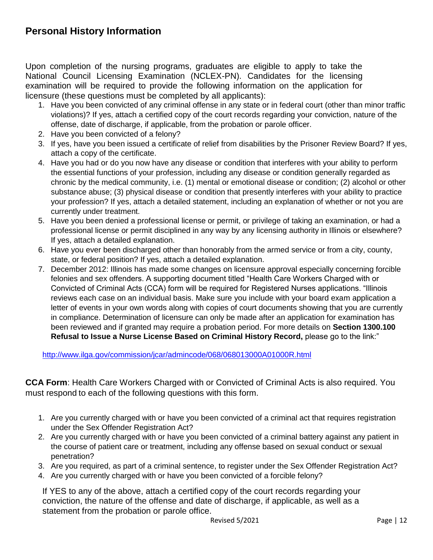### <span id="page-11-0"></span>**Personal History Information**

Upon completion of the nursing programs, graduates are eligible to apply to take the National Council Licensing Examination (NCLEX-PN). Candidates for the licensing examination will be required to provide the following information on the application for licensure (these questions must be completed by all applicants):

- 1. Have you been convicted of any criminal offense in any state or in federal court (other than minor traffic violations)? If yes, attach a certified copy of the court records regarding your conviction, nature of the offense, date of discharge, if applicable, from the probation or parole officer.
- 2. Have you been convicted of a felony?
- 3. If yes, have you been issued a certificate of relief from disabilities by the Prisoner Review Board? If yes, attach a copy of the certificate.
- 4. Have you had or do you now have any disease or condition that interferes with your ability to perform the essential functions of your profession, including any disease or condition generally regarded as chronic by the medical community, i.e. (1) mental or emotional disease or condition; (2) alcohol or other substance abuse; (3) physical disease or condition that presently interferes with your ability to practice your profession? If yes, attach a detailed statement, including an explanation of whether or not you are currently under treatment.
- 5. Have you been denied a professional license or permit, or privilege of taking an examination, or had a professional license or permit disciplined in any way by any licensing authority in Illinois or elsewhere? If yes, attach a detailed explanation.
- 6. Have you ever been discharged other than honorably from the armed service or from a city, county, state, or federal position? If yes, attach a detailed explanation.
- 7. December 2012: Illinois has made some changes on licensure approval especially concerning forcible felonies and sex offenders. A supporting document titled "Health Care Workers Charged with or Convicted of Criminal Acts (CCA) form will be required for Registered Nurses applications. "Illinois reviews each case on an individual basis. Make sure you include with your board exam application a letter of events in your own words along with copies of court documents showing that you are currently in compliance. Determination of licensure can only be made after an application for examination has been reviewed and if granted may require a probation period. For more details on **Section 1300.100 Refusal to Issue a Nurse License Based on Criminal History Record,** please go to the link:"

<http://www.ilga.gov/commission/jcar/admincode/068/068013000A01000R.html>

**CCA Form**: Health Care Workers Charged with or Convicted of Criminal Acts is also required. You must respond to each of the following questions with this form.

- 1. Are you currently charged with or have you been convicted of a criminal act that requires registration under the Sex Offender Registration Act?
- 2. Are you currently charged with or have you been convicted of a criminal battery against any patient in the course of patient care or treatment, including any offense based on sexual conduct or sexual penetration?
- 3. Are you required, as part of a criminal sentence, to register under the Sex Offender Registration Act?
- 4. Are you currently charged with or have you been convicted of a forcible felony?

If YES to any of the above, attach a certified copy of the court records regarding your conviction, the nature of the offense and date of discharge, if applicable, as well as a statement from the probation or parole office.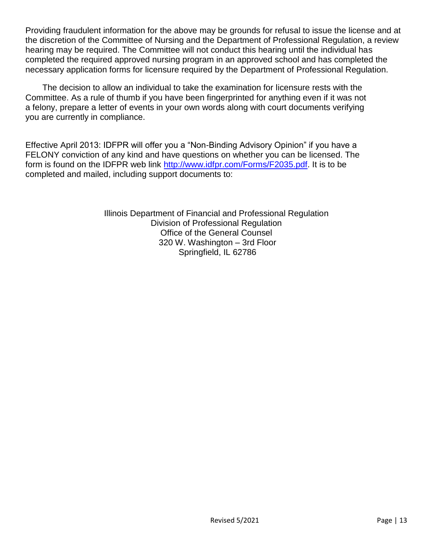Providing fraudulent information for the above may be grounds for refusal to issue the license and at the discretion of the Committee of Nursing and the Department of Professional Regulation, a review hearing may be required. The Committee will not conduct this hearing until the individual has completed the required approved nursing program in an approved school and has completed the necessary application forms for licensure required by the Department of Professional Regulation.

The decision to allow an individual to take the examination for licensure rests with the Committee. As a rule of thumb if you have been fingerprinted for anything even if it was not a felony, prepare a letter of events in your own words along with court documents verifying you are currently in compliance.

Effective April 2013: IDFPR will offer you a "Non-Binding Advisory Opinion" if you have a FELONY conviction of any kind and have questions on whether you can be licensed. The form is found on the IDFPR web link [http://www.idfpr.com/Forms/F2035.pdf.](http://www.idfpr.com/Forms/F2035.pdf) It is to be completed and mailed, including support documents to:

> Illinois Department of Financial and Professional Regulation Division of Professional Regulation Office of the General Counsel 320 W. Washington – 3rd Floor Springfield, IL 62786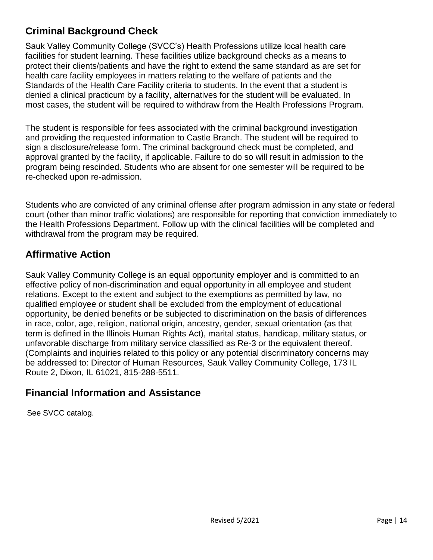# <span id="page-13-0"></span>**Criminal Background Check**

Sauk Valley Community College (SVCC's) Health Professions utilize local health care facilities for student learning. These facilities utilize background checks as a means to protect their clients/patients and have the right to extend the same standard as are set for health care facility employees in matters relating to the welfare of patients and the Standards of the Health Care Facility criteria to students. In the event that a student is denied a clinical practicum by a facility, alternatives for the student will be evaluated. In most cases, the student will be required to withdraw from the Health Professions Program.

The student is responsible for fees associated with the criminal background investigation and providing the requested information to Castle Branch. The student will be required to sign a disclosure/release form. The criminal background check must be completed, and approval granted by the facility, if applicable. Failure to do so will result in admission to the program being rescinded. Students who are absent for one semester will be required to be re-checked upon re-admission.

Students who are convicted of any criminal offense after program admission in any state or federal court (other than minor traffic violations) are responsible for reporting that conviction immediately to the Health Professions Department. Follow up with the clinical facilities will be completed and withdrawal from the program may be required.

# <span id="page-13-1"></span>**Affirmative Action**

Sauk Valley Community College is an equal opportunity employer and is committed to an effective policy of non-discrimination and equal opportunity in all employee and student relations. Except to the extent and subject to the exemptions as permitted by law, no qualified employee or student shall be excluded from the employment of educational opportunity, be denied benefits or be subjected to discrimination on the basis of differences in race, color, age, religion, national origin, ancestry, gender, sexual orientation (as that term is defined in the Illinois Human Rights Act), marital status, handicap, military status, or unfavorable discharge from military service classified as Re-3 or the equivalent thereof. (Complaints and inquiries related to this policy or any potential discriminatory concerns may be addressed to: Director of Human Resources, Sauk Valley Community College, 173 IL Route 2, Dixon, IL 61021, 815-288-5511.

# <span id="page-13-2"></span>**Financial Information and Assistance**

See SVCC catalog.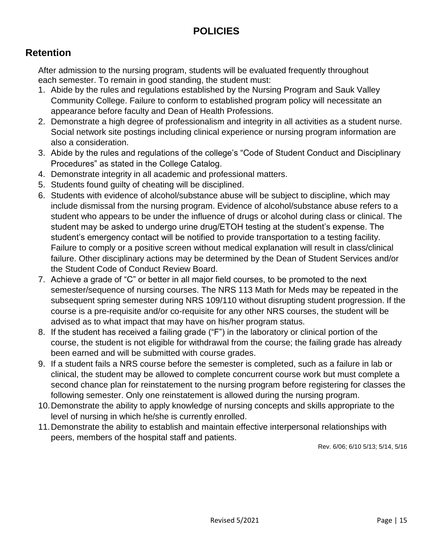# **POLICIES**

# <span id="page-14-1"></span><span id="page-14-0"></span>**Retention**

After admission to the nursing program, students will be evaluated frequently throughout each semester. To remain in good standing, the student must:

- 1. Abide by the rules and regulations established by the Nursing Program and Sauk Valley Community College. Failure to conform to established program policy will necessitate an appearance before faculty and Dean of Health Professions.
- 2. Demonstrate a high degree of professionalism and integrity in all activities as a student nurse. Social network site postings including clinical experience or nursing program information are also a consideration.
- 3. Abide by the rules and regulations of the college's "Code of Student Conduct and Disciplinary Procedures" as stated in the College Catalog.
- 4. Demonstrate integrity in all academic and professional matters.
- 5. Students found guilty of cheating will be disciplined.
- 6. Students with evidence of alcohol/substance abuse will be subject to discipline, which may include dismissal from the nursing program. Evidence of alcohol/substance abuse refers to a student who appears to be under the influence of drugs or alcohol during class or clinical. The student may be asked to undergo urine drug/ETOH testing at the student's expense. The student's emergency contact will be notified to provide transportation to a testing facility. Failure to comply or a positive screen without medical explanation will result in class/clinical failure. Other disciplinary actions may be determined by the Dean of Student Services and/or the Student Code of Conduct Review Board.
- 7. Achieve a grade of "C" or better in all major field courses, to be promoted to the next semester/sequence of nursing courses. The NRS 113 Math for Meds may be repeated in the subsequent spring semester during NRS 109/110 without disrupting student progression. If the course is a pre-requisite and/or co-requisite for any other NRS courses, the student will be advised as to what impact that may have on his/her program status.
- 8. If the student has received a failing grade ("F") in the laboratory or clinical portion of the course, the student is not eligible for withdrawal from the course; the failing grade has already been earned and will be submitted with course grades.
- 9. If a student fails a NRS course before the semester is completed, such as a failure in lab or clinical, the student may be allowed to complete concurrent course work but must complete a second chance plan for reinstatement to the nursing program before registering for classes the following semester. Only one reinstatement is allowed during the nursing program.
- 10.Demonstrate the ability to apply knowledge of nursing concepts and skills appropriate to the level of nursing in which he/she is currently enrolled.
- 11.Demonstrate the ability to establish and maintain effective interpersonal relationships with peers, members of the hospital staff and patients.

Rev. 6/06; 6/10 5/13; 5/14, 5/16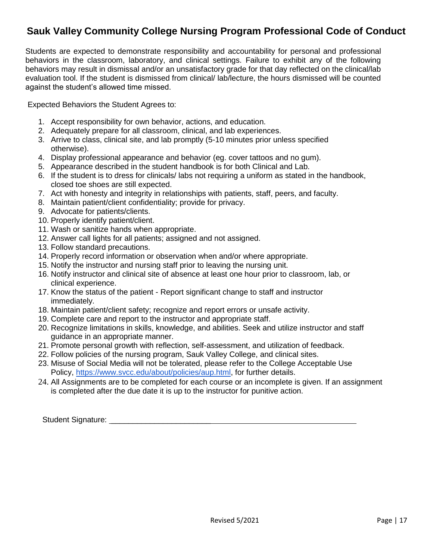# <span id="page-16-0"></span>**Sauk Valley Community College Nursing Program Professional Code of Conduct**

Students are expected to demonstrate responsibility and accountability for personal and professional behaviors in the classroom, laboratory, and clinical settings. Failure to exhibit any of the following behaviors may result in dismissal and/or an unsatisfactory grade for that day reflected on the clinical/lab evaluation tool. If the student is dismissed from clinical/ lab/lecture, the hours dismissed will be counted against the student's allowed time missed.

Expected Behaviors the Student Agrees to:

- 1. Accept responsibility for own behavior, actions, and education.
- 2. Adequately prepare for all classroom, clinical, and lab experiences.
- 3. Arrive to class, clinical site, and lab promptly (5-10 minutes prior unless specified otherwise).
- 4. Display professional appearance and behavior (eg. cover tattoos and no gum).
- 5. Appearance described in the student handbook is for both Clinical and Lab.
- 6. If the student is to dress for clinicals/ labs not requiring a uniform as stated in the handbook, closed toe shoes are still expected.
- 7. Act with honesty and integrity in relationships with patients, staff, peers, and faculty.
- 8. Maintain patient/client confidentiality; provide for privacy.
- 9. Advocate for patients/clients.
- 10. Properly identify patient/client.
- 11. Wash or sanitize hands when appropriate.
- 12. Answer call lights for all patients; assigned and not assigned.
- 13. Follow standard precautions.
- 14. Properly record information or observation when and/or where appropriate.
- 15. Notify the instructor and nursing staff prior to leaving the nursing unit.
- 16. Notify instructor and clinical site of absence at least one hour prior to classroom, lab, or clinical experience.
- 17. Know the status of the patient Report significant change to staff and instructor immediately.
- 18. Maintain patient/client safety; recognize and report errors or unsafe activity.
- 19. Complete care and report to the instructor and appropriate staff.
- 20. Recognize limitations in skills, knowledge, and abilities. Seek and utilize instructor and staff guidance in an appropriate manner.
- 21. Promote personal growth with reflection, self-assessment, and utilization of feedback.
- 22. Follow policies of the nursing program, Sauk Valley College, and clinical sites.
- 23. Misuse of Social Media will not be tolerated, please refer to the College Acceptable Use Policy, [https://www.svcc.edu/about/policies/aup.html,](https://www.svcc.edu/about/policies/aup.html) for further details.
- 24. All Assignments are to be completed for each course or an incomplete is given. If an assignment is completed after the due date it is up to the instructor for punitive action.

Student Signature: \_\_\_\_\_\_\_\_\_\_\_\_\_\_\_\_\_\_\_\_\_\_\_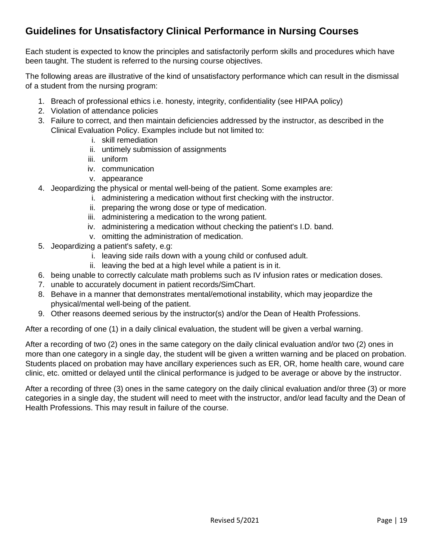# <span id="page-18-0"></span>**Guidelines for Unsatisfactory Clinical Performance in Nursing Courses**

Each student is expected to know the principles and satisfactorily perform skills and procedures which have been taught. The student is referred to the nursing course objectives.

The following areas are illustrative of the kind of unsatisfactory performance which can result in the dismissal of a student from the nursing program:

- 1. Breach of professional ethics i.e. honesty, integrity, confidentiality (see HIPAA policy)
- 2. Violation of attendance policies
- 3. Failure to correct, and then maintain deficiencies addressed by the instructor, as described in the Clinical Evaluation Policy. Examples include but not limited to:
	- i. skill remediation
	- ii. untimely submission of assignments
	- iii. uniform
	- iv. communication
	- v. appearance
- 4. Jeopardizing the physical or mental well-being of the patient. Some examples are:
	- i. administering a medication without first checking with the instructor.
		- ii. preparing the wrong dose or type of medication.
		- iii. administering a medication to the wrong patient.
	- iv. administering a medication without checking the patient's I.D. band.
	- v. omitting the administration of medication.
- 5. Jeopardizing a patient's safety, e.g:
	- i. leaving side rails down with a young child or confused adult.
	- ii. leaving the bed at a high level while a patient is in it.
- 6. being unable to correctly calculate math problems such as IV infusion rates or medication doses.
- 7. unable to accurately document in patient records/SimChart.
- 8. Behave in a manner that demonstrates mental/emotional instability, which may jeopardize the physical/mental well-being of the patient.
- 9. Other reasons deemed serious by the instructor(s) and/or the Dean of Health Professions.

After a recording of one (1) in a daily clinical evaluation, the student will be given a verbal warning.

After a recording of two (2) ones in the same category on the daily clinical evaluation and/or two (2) ones in more than one category in a single day, the student will be given a written warning and be placed on probation. Students placed on probation may have ancillary experiences such as ER, OR, home health care, wound care clinic, etc. omitted or delayed until the clinical performance is judged to be average or above by the instructor.

After a recording of three (3) ones in the same category on the daily clinical evaluation and/or three (3) or more categories in a single day, the student will need to meet with the instructor, and/or lead faculty and the Dean of Health Professions. This may result in failure of the course.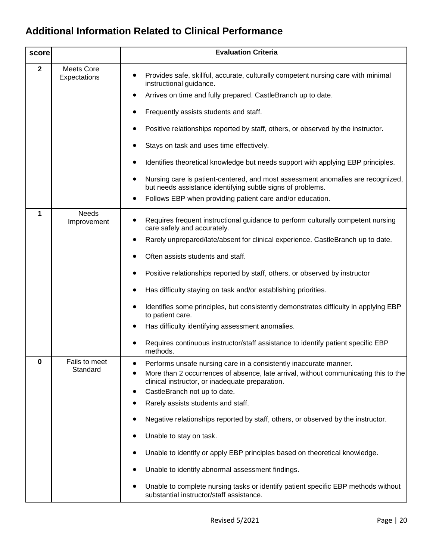# <span id="page-19-0"></span>**Additional Information Related to Clinical Performance**

| score        |                             | <b>Evaluation Criteria</b>                                                                                                                                                                                                                                                                                                                                                                                                                                                                                                                                                                                                                                                                |
|--------------|-----------------------------|-------------------------------------------------------------------------------------------------------------------------------------------------------------------------------------------------------------------------------------------------------------------------------------------------------------------------------------------------------------------------------------------------------------------------------------------------------------------------------------------------------------------------------------------------------------------------------------------------------------------------------------------------------------------------------------------|
| $\mathbf{2}$ | Meets Core<br>Expectations  | Provides safe, skillful, accurate, culturally competent nursing care with minimal<br>instructional guidance.<br>Arrives on time and fully prepared. CastleBranch up to date.<br>Frequently assists students and staff.<br>٠<br>Positive relationships reported by staff, others, or observed by the instructor.<br>Stays on task and uses time effectively.<br>٠<br>Identifies theoretical knowledge but needs support with applying EBP principles.<br>$\bullet$<br>Nursing care is patient-centered, and most assessment anomalies are recognized,<br>٠<br>but needs assistance identifying subtle signs of problems.<br>Follows EBP when providing patient care and/or education.<br>٠ |
| 1            | <b>Needs</b><br>Improvement | Requires frequent instructional guidance to perform culturally competent nursing<br>care safely and accurately.<br>Rarely unprepared/late/absent for clinical experience. CastleBranch up to date.<br>Often assists students and staff.<br>Positive relationships reported by staff, others, or observed by instructor<br>Has difficulty staying on task and/or establishing priorities.<br>٠<br>Identifies some principles, but consistently demonstrates difficulty in applying EBP<br>٠<br>to patient care.<br>Has difficulty identifying assessment anomalies.<br>Requires continuous instructor/staff assistance to identify patient specific EBP<br>methods.                        |
| <sup>0</sup> | Fails to meet<br>Standard   | Performs unsafe nursing care in a consistently inaccurate manner.<br>More than 2 occurrences of absence, late arrival, without communicating this to the<br>clinical instructor, or inadequate preparation.<br>CastleBranch not up to date.<br>$\bullet$<br>Rarely assists students and staff.<br>Negative relationships reported by staff, others, or observed by the instructor.<br>Unable to stay on task.<br>Unable to identify or apply EBP principles based on theoretical knowledge.<br>Unable to identify abnormal assessment findings.<br>Unable to complete nursing tasks or identify patient specific EBP methods without<br>substantial instructor/staff assistance.          |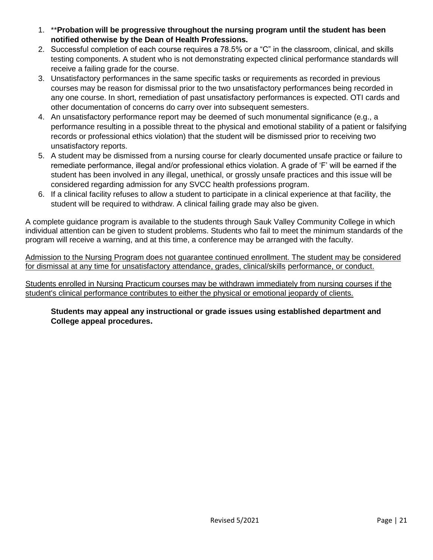- 1. \*\***Probation will be progressive throughout the nursing program until the student has been notified otherwise by the Dean of Health Professions.**
- 2. Successful completion of each course requires a 78.5% or a "C" in the classroom, clinical, and skills testing components. A student who is not demonstrating expected clinical performance standards will receive a failing grade for the course.
- 3. Unsatisfactory performances in the same specific tasks or requirements as recorded in previous courses may be reason for dismissal prior to the two unsatisfactory performances being recorded in any one course. In short, remediation of past unsatisfactory performances is expected. OTI cards and other documentation of concerns do carry over into subsequent semesters.
- 4. An unsatisfactory performance report may be deemed of such monumental significance (e.g., a performance resulting in a possible threat to the physical and emotional stability of a patient or falsifying records or professional ethics violation) that the student will be dismissed prior to receiving two unsatisfactory reports.
- 5. A student may be dismissed from a nursing course for clearly documented unsafe practice or failure to remediate performance, illegal and/or professional ethics violation. A grade of 'F' will be earned if the student has been involved in any illegal, unethical, or grossly unsafe practices and this issue will be considered regarding admission for any SVCC health professions program.
- 6. If a clinical facility refuses to allow a student to participate in a clinical experience at that facility, the student will be required to withdraw. A clinical failing grade may also be given.

A complete guidance program is available to the students through Sauk Valley Community College in which individual attention can be given to student problems. Students who fail to meet the minimum standards of the program will receive a warning, and at this time, a conference may be arranged with the faculty.

Admission to the Nursing Program does not guarantee continued enrollment. The student may be considered for dismissal at any time for unsatisfactory attendance, grades, clinical/skills performance, or conduct.

Students enrolled in Nursing Practicum courses may be withdrawn immediately from nursing courses if the student's clinical performance contributes to either the physical or emotional jeopardy of clients.

**Students may appeal any instructional or grade issues using established department and College appeal procedures.**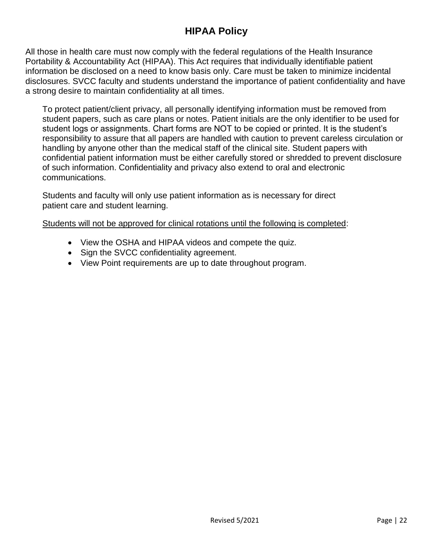# **HIPAA Policy**

<span id="page-21-0"></span>All those in health care must now comply with the federal regulations of the Health Insurance Portability & Accountability Act (HIPAA). This Act requires that individually identifiable patient information be disclosed on a need to know basis only. Care must be taken to minimize incidental disclosures. SVCC faculty and students understand the importance of patient confidentiality and have a strong desire to maintain confidentiality at all times.

To protect patient/client privacy, all personally identifying information must be removed from student papers, such as care plans or notes. Patient initials are the only identifier to be used for student logs or assignments. Chart forms are NOT to be copied or printed. It is the student's responsibility to assure that all papers are handled with caution to prevent careless circulation or handling by anyone other than the medical staff of the clinical site. Student papers with confidential patient information must be either carefully stored or shredded to prevent disclosure of such information. Confidentiality and privacy also extend to oral and electronic communications.

Students and faculty will only use patient information as is necessary for direct patient care and student learning.

Students will not be approved for clinical rotations until the following is completed:

- View the OSHA and HIPAA videos and compete the quiz.
- Sign the SVCC confidentiality agreement.
- View Point requirements are up to date throughout program.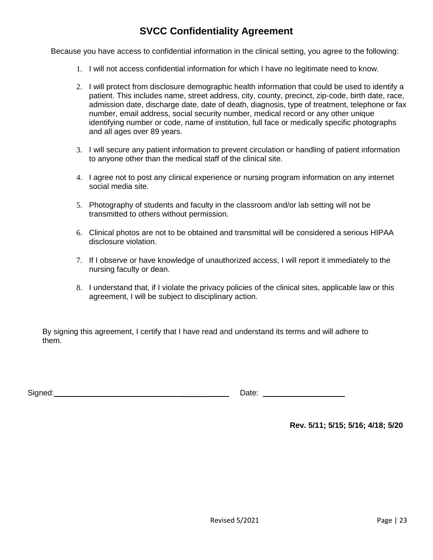# **SVCC Confidentiality Agreement**

<span id="page-22-0"></span>Because you have access to confidential information in the clinical setting, you agree to the following:

- 1. I will not access confidential information for which I have no legitimate need to know.
- 2. I will protect from disclosure demographic health information that could be used to identify a patient. This includes name, street address, city, county, precinct, zip-code, birth date, race, admission date, discharge date, date of death, diagnosis, type of treatment, telephone or fax number, email address, social security number, medical record or any other unique identifying number or code, name of institution, full face or medically specific photographs and all ages over 89 years.
- 3. I will secure any patient information to prevent circulation or handling of patient information to anyone other than the medical staff of the clinical site.
- 4. I agree not to post any clinical experience or nursing program information on any internet social media site.
- 5. Photography of students and faculty in the classroom and/or lab setting will not be transmitted to others without permission.
- 6. Clinical photos are not to be obtained and transmittal will be considered a serious HIPAA disclosure violation.
- 7. If I observe or have knowledge of unauthorized access, I will report it immediately to the nursing faculty or dean.
- 8. I understand that, if I violate the privacy policies of the clinical sites, applicable law or this agreement, I will be subject to disciplinary action.

By signing this agreement, I certify that I have read and understand its terms and will adhere to them.

| <b>.</b><br>510 | --- |
|-----------------|-----|
|-----------------|-----|

**Rev. 5/11; 5/15; 5/16; 4/18; 5/20**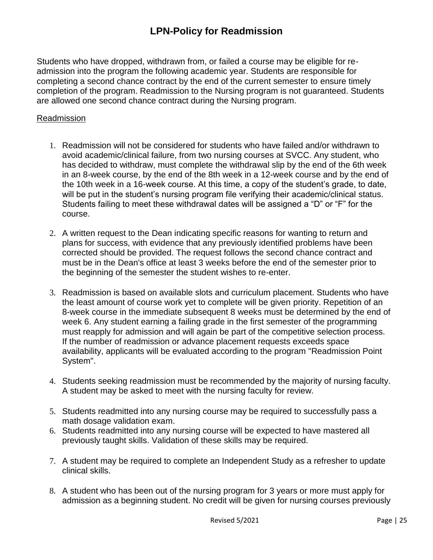### **LPN-Policy for Readmission**

<span id="page-24-0"></span>Students who have dropped, withdrawn from, or failed a course may be eligible for readmission into the program the following academic year. Students are responsible for completing a second chance contract by the end of the current semester to ensure timely completion of the program. Readmission to the Nursing program is not guaranteed. Students are allowed one second chance contract during the Nursing program.

#### Readmission

- 1. Readmission will not be considered for students who have failed and/or withdrawn to avoid academic/clinical failure, from two nursing courses at SVCC. Any student, who has decided to withdraw, must complete the withdrawal slip by the end of the 6th week in an 8-week course, by the end of the 8th week in a 12-week course and by the end of the 10th week in a 16-week course. At this time, a copy of the student's grade, to date, will be put in the student's nursing program file verifying their academic/clinical status. Students failing to meet these withdrawal dates will be assigned a "D" or "F" for the course.
- 2. A written request to the Dean indicating specific reasons for wanting to return and plans for success, with evidence that any previously identified problems have been corrected should be provided. The request follows the second chance contract and must be in the Dean's office at least 3 weeks before the end of the semester prior to the beginning of the semester the student wishes to re-enter.
- 3. Readmission is based on available slots and curriculum placement. Students who have the least amount of course work yet to complete will be given priority. Repetition of an 8-week course in the immediate subsequent 8 weeks must be determined by the end of week 6. Any student earning a failing grade in the first semester of the programming must reapply for admission and will again be part of the competitive selection process. If the number of readmission or advance placement requests exceeds space availability, applicants will be evaluated according to the program "Readmission Point System".
- 4. Students seeking readmission must be recommended by the majority of nursing faculty. A student may be asked to meet with the nursing faculty for review.
- 5. Students readmitted into any nursing course may be required to successfully pass a math dosage validation exam.
- 6. Students readmitted into any nursing course will be expected to have mastered all previously taught skills. Validation of these skills may be required.
- 7. A student may be required to complete an Independent Study as a refresher to update clinical skills.
- 8. A student who has been out of the nursing program for 3 years or more must apply for admission as a beginning student. No credit will be given for nursing courses previously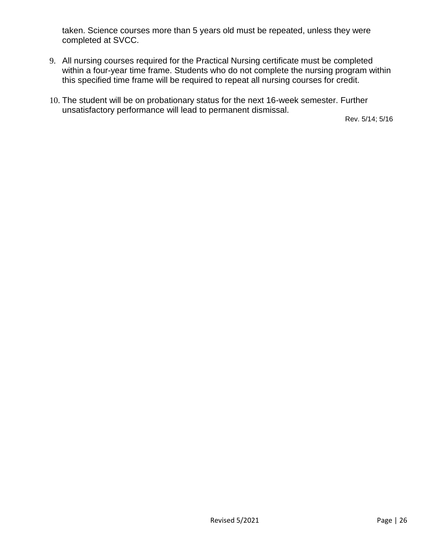taken. Science courses more than 5 years old must be repeated, unless they were completed at SVCC.

- 9. All nursing courses required for the Practical Nursing certificate must be completed within a four-year time frame. Students who do not complete the nursing program within this specified time frame will be required to repeat all nursing courses for credit.
- 10. The student will be on probationary status for the next 16-week semester. Further unsatisfactory performance will lead to permanent dismissal.

Rev. 5/14; 5/16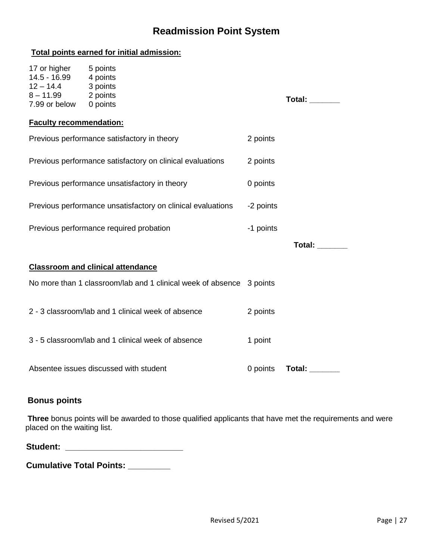# **Readmission Point System**

<span id="page-26-0"></span>

| Total points earned for initial admission:                                                |                                                                      |           |                       |  |
|-------------------------------------------------------------------------------------------|----------------------------------------------------------------------|-----------|-----------------------|--|
| 17 or higher<br>14.5 - 16.99 4 points<br>$12 - 14.4$<br>8-11.99 2 points<br>7.99 or below | 5 points<br>3 points<br>0 points                                     |           | Total: _______        |  |
| <b>Faculty recommendation:</b>                                                            |                                                                      |           |                       |  |
| Previous performance satisfactory in theory                                               |                                                                      | 2 points  |                       |  |
|                                                                                           | Previous performance satisfactory on clinical evaluations            | 2 points  |                       |  |
| Previous performance unsatisfactory in theory                                             |                                                                      | 0 points  |                       |  |
| Previous performance unsatisfactory on clinical evaluations                               |                                                                      | -2 points |                       |  |
|                                                                                           | Previous performance required probation                              | -1 points |                       |  |
|                                                                                           |                                                                      |           | <b>Total:</b> _______ |  |
|                                                                                           | <b>Classroom and clinical attendance</b>                             |           |                       |  |
|                                                                                           | No more than 1 classroom/lab and 1 clinical week of absence 3 points |           |                       |  |
|                                                                                           | 2 - 3 classroom/lab and 1 clinical week of absence                   | 2 points  |                       |  |
|                                                                                           | 3 - 5 classroom/lab and 1 clinical week of absence                   | 1 point   |                       |  |
|                                                                                           | Absentee issues discussed with student                               | 0 points  | <b>Total:</b> ______  |  |

#### **Bonus points**

**Three** bonus points will be awarded to those qualified applicants that have met the requirements and were placed on the waiting list.

**Cumulative Total Points: \_\_\_\_\_\_\_\_\_**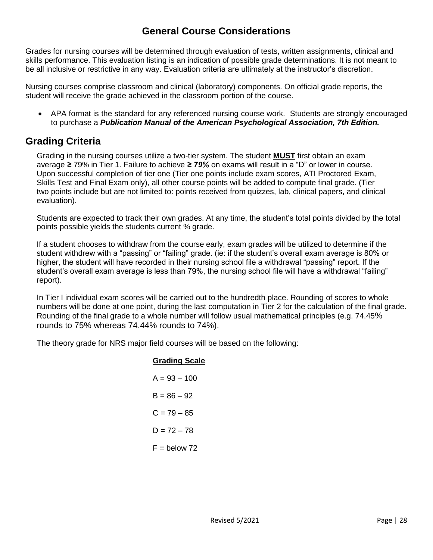### **General Course Considerations**

<span id="page-27-0"></span>Grades for nursing courses will be determined through evaluation of tests, written assignments, clinical and skills performance. This evaluation listing is an indication of possible grade determinations. It is not meant to be all inclusive or restrictive in any way. Evaluation criteria are ultimately at the instructor's discretion.

Nursing courses comprise classroom and clinical (laboratory) components. On official grade reports, the student will receive the grade achieved in the classroom portion of the course.

• APA format is the standard for any referenced nursing course work. Students are strongly encouraged to purchase a *Publication Manual of the American Psychological Association, 7th Edition.*

### <span id="page-27-1"></span>**Grading Criteria**

Grading in the nursing courses utilize a two-tier system. The student **MUST** first obtain an exam average *≥* 79% in Tier 1. Failure to achieve *≥ 79%* on exams will result in a "D" or lower in course. Upon successful completion of tier one (Tier one points include exam scores, ATI Proctored Exam, Skills Test and Final Exam only), all other course points will be added to compute final grade. (Tier two points include but are not limited to: points received from quizzes, lab, clinical papers, and clinical evaluation).

Students are expected to track their own grades. At any time, the student's total points divided by the total points possible yields the students current % grade.

If a student chooses to withdraw from the course early, exam grades will be utilized to determine if the student withdrew with a "passing" or "failing" grade. (ie: if the student's overall exam average is 80% or higher, the student will have recorded in their nursing school file a withdrawal "passing" report. If the student's overall exam average is less than 79%, the nursing school file will have a withdrawal "failing" report).

In Tier I individual exam scores will be carried out to the hundredth place. Rounding of scores to whole numbers will be done at one point, during the last computation in Tier 2 for the calculation of the final grade. Rounding of the final grade to a whole number will follow usual mathematical principles (e.g. 74.45% rounds to 75% whereas 74.44% rounds to 74%).

The theory grade for NRS major field courses will be based on the following:

#### **Grading Scale**

| $A = 93 - 100$ |
|----------------|
| $B = 86 - 92$  |
| $C = 79 - 85$  |
| $D = 72 - 78$  |
| $F =$ below 72 |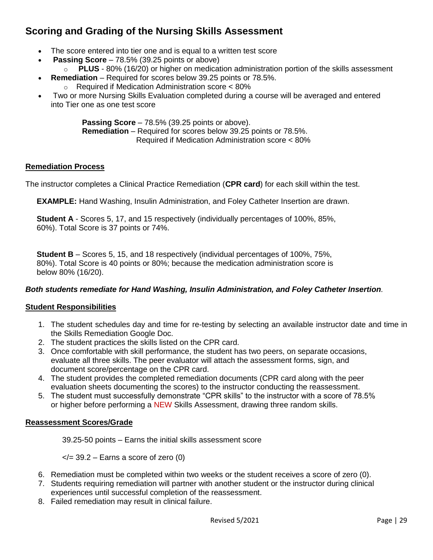# <span id="page-28-0"></span>**Scoring and Grading of the Nursing Skills Assessment**

- The score entered into tier one and is equal to a written test score
- **Passing Score** 78.5% (39.25 points or above)
- o **PLUS** 80% (16/20) or higher on medication administration portion of the skills assessment
	- **Remediation**  Required for scores below 39.25 points or 78.5%.
		- o Required if Medication Administration score < 80%
- Two or more Nursing Skills Evaluation completed during a course will be averaged and entered into Tier one as one test score

**Passing Score** – 78.5% (39.25 points or above). **Remediation** – Required for scores below 39.25 points or 78.5%. Required if Medication Administration score < 80%

#### **Remediation Process**

The instructor completes a Clinical Practice Remediation (**CPR card**) for each skill within the test.

**EXAMPLE:** Hand Washing, Insulin Administration, and Foley Catheter Insertion are drawn.

**Student A** - Scores 5, 17, and 15 respectively (individually percentages of 100%, 85%, 60%). Total Score is 37 points or 74%.

**Student B** – Scores 5, 15, and 18 respectively (individual percentages of 100%, 75%, 80%). Total Score is 40 points or 80%; because the medication administration score is below 80% (16/20).

#### *Both students remediate for Hand Washing, Insulin Administration, and Foley Catheter Insertion.*

#### **Student Responsibilities**

- 1. The student schedules day and time for re-testing by selecting an available instructor date and time in the Skills Remediation Google Doc.
- 2. The student practices the skills listed on the CPR card.
- 3. Once comfortable with skill performance, the student has two peers, on separate occasions, evaluate all three skills. The peer evaluator will attach the assessment forms, sign, and document score/percentage on the CPR card.
- 4. The student provides the completed remediation documents (CPR card along with the peer evaluation sheets documenting the scores) to the instructor conducting the reassessment.
- 5. The student must successfully demonstrate "CPR skills" to the instructor with a score of 78.5% or higher before performing a NEW Skills Assessment, drawing three random skills.

#### **Reassessment Scores/Grade**

39.25-50 points – Earns the initial skills assessment score

 $\langle 2|$  = 39.2 – Earns a score of zero (0)

- 6. Remediation must be completed within two weeks or the student receives a score of zero (0).
- 7. Students requiring remediation will partner with another student or the instructor during clinical experiences until successful completion of the reassessment.
- 8. Failed remediation may result in clinical failure.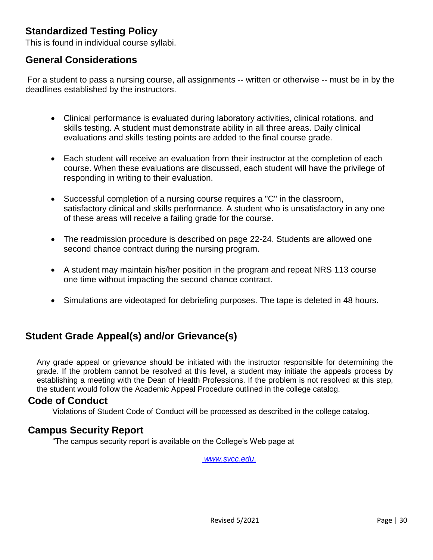# <span id="page-29-0"></span>**Standardized Testing Policy**

This is found in individual course syllabi.

### <span id="page-29-1"></span>**General Considerations**

For a student to pass a nursing course, all assignments -- written or otherwise -- must be in by the deadlines established by the instructors.

- Clinical performance is evaluated during laboratory activities, clinical rotations. and skills testing. A student must demonstrate ability in all three areas. Daily clinical evaluations and skills testing points are added to the final course grade.
- Each student will receive an evaluation from their instructor at the completion of each course. When these evaluations are discussed, each student will have the privilege of responding in writing to their evaluation.
- Successful completion of a nursing course requires a "C" in the classroom, satisfactory clinical and skills performance. A student who is unsatisfactory in any one of these areas will receive a failing grade for the course.
- The readmission procedure is described on page 22-24. Students are allowed one second chance contract during the nursing program.
- A student may maintain his/her position in the program and repeat NRS 113 course one time without impacting the second chance contract.
- Simulations are videotaped for debriefing purposes. The tape is deleted in 48 hours.

# <span id="page-29-2"></span>**Student Grade Appeal(s) and/or Grievance(s)**

Any grade appeal or grievance should be initiated with the instructor responsible for determining the grade. If the problem cannot be resolved at this level, a student may initiate the appeals process by establishing a meeting with the Dean of Health Professions. If the problem is not resolved at this step, the student would follow the Academic Appeal Procedure outlined in the college catalog.

#### <span id="page-29-3"></span>**Code of Conduct**

Violations of Student Code of Conduct will be processed as described in the college catalog.

#### <span id="page-29-4"></span>**Campus Security Report**

"The campus security report is available on the College's Web page at

*www.svcc*.*edu*.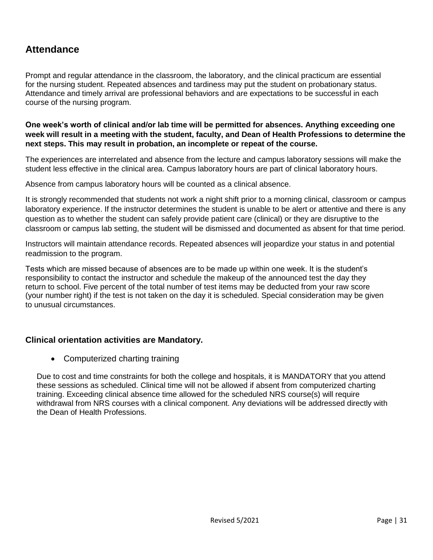# <span id="page-30-0"></span>**Attendance**

Prompt and regular attendance in the classroom, the laboratory, and the clinical practicum are essential for the nursing student. Repeated absences and tardiness may put the student on probationary status. Attendance and timely arrival are professional behaviors and are expectations to be successful in each course of the nursing program.

**One week's worth of clinical and/or lab time will be permitted for absences. Anything exceeding one week will result in a meeting with the student, faculty, and Dean of Health Professions to determine the next steps. This may result in probation, an incomplete or repeat of the course.**

The experiences are interrelated and absence from the lecture and campus laboratory sessions will make the student less effective in the clinical area. Campus laboratory hours are part of clinical laboratory hours.

Absence from campus laboratory hours will be counted as a clinical absence.

It is strongly recommended that students not work a night shift prior to a morning clinical, classroom or campus laboratory experience. If the instructor determines the student is unable to be alert or attentive and there is any question as to whether the student can safely provide patient care (clinical) or they are disruptive to the classroom or campus lab setting, the student will be dismissed and documented as absent for that time period.

Instructors will maintain attendance records. Repeated absences will jeopardize your status in and potential readmission to the program.

Tests which are missed because of absences are to be made up within one week. It is the student's responsibility to contact the instructor and schedule the makeup of the announced test the day they return to school. Five percent of the total number of test items may be deducted from your raw score (your number right) if the test is not taken on the day it is scheduled. Special consideration may be given to unusual circumstances.

#### **Clinical orientation activities are Mandatory.**

• Computerized charting training

Due to cost and time constraints for both the college and hospitals, it is MANDATORY that you attend these sessions as scheduled. Clinical time will not be allowed if absent from computerized charting training. Exceeding clinical absence time allowed for the scheduled NRS course(s) will require withdrawal from NRS courses with a clinical component. Any deviations will be addressed directly with the Dean of Health Professions.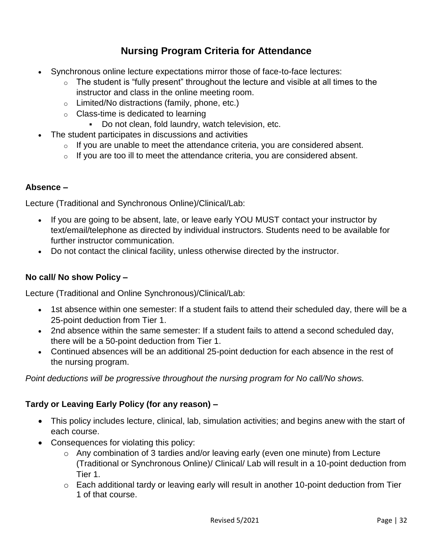# **Nursing Program Criteria for Attendance**

- <span id="page-31-0"></span>• Synchronous online lecture expectations mirror those of face-to-face lectures:
	- $\circ$  The student is "fully present" throughout the lecture and visible at all times to the instructor and class in the online meeting room.
	- o Limited/No distractions (family, phone, etc.)
	- o Class-time is dedicated to learning
		- Do not clean, fold laundry, watch television, etc.
- The student participates in discussions and activities
	- $\circ$  If you are unable to meet the attendance criteria, you are considered absent.
	- $\circ$  If you are too ill to meet the attendance criteria, you are considered absent.

#### **Absence –**

Lecture (Traditional and Synchronous Online)/Clinical/Lab:

- If you are going to be absent, late, or leave early YOU MUST contact your instructor by text/email/telephone as directed by individual instructors. Students need to be available for further instructor communication.
- Do not contact the clinical facility, unless otherwise directed by the instructor.

#### **No call/ No show Policy –**

Lecture (Traditional and Online Synchronous)/Clinical/Lab:

- 1st absence within one semester: If a student fails to attend their scheduled day, there will be a 25-point deduction from Tier 1.
- 2nd absence within the same semester: If a student fails to attend a second scheduled day, there will be a 50-point deduction from Tier 1.
- Continued absences will be an additional 25-point deduction for each absence in the rest of the nursing program.

*Point deductions will be progressive throughout the nursing program for No call/No shows.*

#### **Tardy or Leaving Early Policy (for any reason) –**

- This policy includes lecture, clinical, lab, simulation activities; and begins anew with the start of each course.
- Consequences for violating this policy:
	- o Any combination of 3 tardies and/or leaving early (even one minute) from Lecture (Traditional or Synchronous Online)/ Clinical/ Lab will result in a 10-point deduction from Tier 1.
	- o Each additional tardy or leaving early will result in another 10-point deduction from Tier 1 of that course.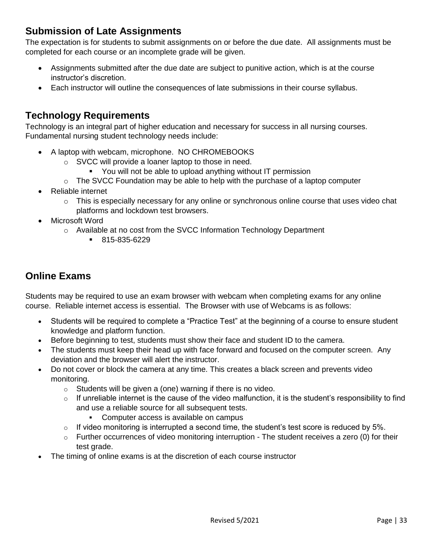# <span id="page-32-0"></span>**Submission of Late Assignments**

The expectation is for students to submit assignments on or before the due date. All assignments must be completed for each course or an incomplete grade will be given.

- Assignments submitted after the due date are subject to punitive action, which is at the course instructor's discretion.
- Each instructor will outline the consequences of late submissions in their course syllabus.

# <span id="page-32-1"></span>**Technology Requirements**

Technology is an integral part of higher education and necessary for success in all nursing courses. Fundamental nursing student technology needs include:

- A laptop with webcam, microphone. NO CHROMEBOOKS
	- o SVCC will provide a loaner laptop to those in need.
		- You will not be able to upload anything without IT permission
	- $\circ$  The SVCC Foundation may be able to help with the purchase of a laptop computer
- Reliable internet
	- $\circ$  This is especially necessary for any online or synchronous online course that uses video chat platforms and lockdown test browsers.
- Microsoft Word
	- o Available at no cost from the SVCC Information Technology Department
		- 815-835-6229

# <span id="page-32-2"></span>**Online Exams**

Students may be required to use an exam browser with webcam when completing exams for any online course. Reliable internet access is essential. The Browser with use of Webcams is as follows:

- Students will be required to complete a "Practice Test" at the beginning of a course to ensure student knowledge and platform function.
- Before beginning to test, students must show their face and student ID to the camera.
- The students must keep their head up with face forward and focused on the computer screen. Any deviation and the browser will alert the instructor.
- Do not cover or block the camera at any time. This creates a black screen and prevents video monitoring.
	- $\circ$  Students will be given a (one) warning if there is no video.
	- $\circ$  If unreliable internet is the cause of the video malfunction, it is the student's responsibility to find and use a reliable source for all subsequent tests.
		- Computer access is available on campus
	- $\circ$  If video monitoring is interrupted a second time, the student's test score is reduced by 5%.
	- $\circ$  Further occurrences of video monitoring interruption The student receives a zero (0) for their test grade.
- The timing of online exams is at the discretion of each course instructor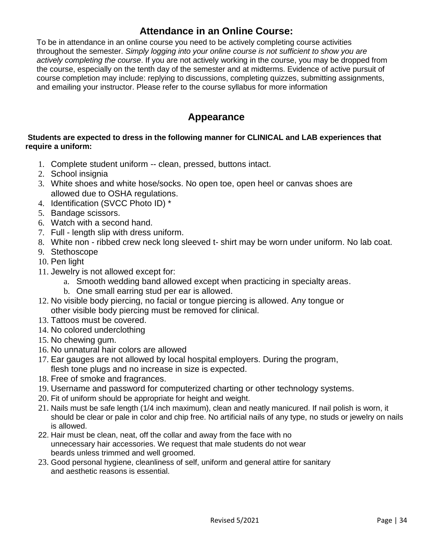### **Attendance in an Online Course:**

<span id="page-33-0"></span>To be in attendance in an online course you need to be actively completing course activities throughout the semester. *Simply logging into your online course is not sufficient to show you are actively completing the course*. If you are not actively working in the course, you may be dropped from the course, especially on the tenth day of the semester and at midterms. Evidence of active pursuit of course completion may include: replying to discussions, completing quizzes, submitting assignments, and emailing your instructor. Please refer to the course syllabus for more information

### **Appearance**

#### <span id="page-33-1"></span>**Students are expected to dress in the following manner for CLINICAL and LAB experiences that require a uniform:**

- 1. Complete student uniform -- clean, pressed, buttons intact.
- 2. School insignia
- 3. White shoes and white hose/socks. No open toe, open heel or canvas shoes are allowed due to OSHA regulations.
- 4. Identification (SVCC Photo ID) \*
- 5. Bandage scissors.
- 6. Watch with a second hand.
- 7. Full length slip with dress uniform.
- 8. White non ribbed crew neck long sleeved t- shirt may be worn under uniform. No lab coat.
- 9. Stethoscope
- 10. Pen light
- 11. Jewelry is not allowed except for:
	- a. Smooth wedding band allowed except when practicing in specialty areas.
	- b. One small earring stud per ear is allowed.
- 12. No visible body piercing, no facial or tongue piercing is allowed. Any tongue or other visible body piercing must be removed for clinical.
- 13. Tattoos must be covered.
- 14. No colored underclothing
- 15. No chewing gum.
- 16. No unnatural hair colors are allowed
- 17. Ear gauges are not allowed by local hospital employers. During the program, flesh tone plugs and no increase in size is expected.
- 18. Free of smoke and fragrances.
- 19. Username and password for computerized charting or other technology systems.
- 20. Fit of uniform should be appropriate for height and weight.
- 21. Nails must be safe length (1/4 inch maximum), clean and neatly manicured. If nail polish is worn, it should be clear or pale in color and chip free. No artificial nails of any type, no studs or jewelry on nails is allowed.
- 22. Hair must be clean, neat, off the collar and away from the face with no unnecessary hair accessories. We request that male students do not wear beards unless trimmed and well groomed.
- 23. Good personal hygiene, cleanliness of self, uniform and general attire for sanitary and aesthetic reasons is essential.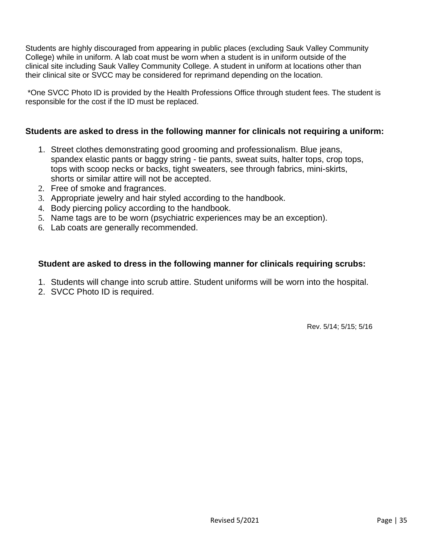Students are highly discouraged from appearing in public places (excluding Sauk Valley Community College) while in uniform. A lab coat must be worn when a student is in uniform outside of the clinical site including Sauk Valley Community College. A student in uniform at locations other than their clinical site or SVCC may be considered for reprimand depending on the location.

\*One SVCC Photo ID is provided by the Health Professions Office through student fees. The student is responsible for the cost if the ID must be replaced.

#### **Students are asked to dress in the following manner for clinicals not requiring a uniform:**

- 1. Street clothes demonstrating good grooming and professionalism. Blue jeans, spandex elastic pants or baggy string - tie pants, sweat suits, halter tops, crop tops, tops with scoop necks or backs, tight sweaters, see through fabrics, mini-skirts, shorts or similar attire will not be accepted.
- 2. Free of smoke and fragrances.
- 3. Appropriate jewelry and hair styled according to the handbook.
- 4. Body piercing policy according to the handbook.
- 5. Name tags are to be worn (psychiatric experiences may be an exception).
- 6. Lab coats are generally recommended.

#### **Student are asked to dress in the following manner for clinicals requiring scrubs:**

- 1. Students will change into scrub attire. Student uniforms will be worn into the hospital.
- 2. SVCC Photo ID is required.

Rev. 5/14; 5/15; 5/16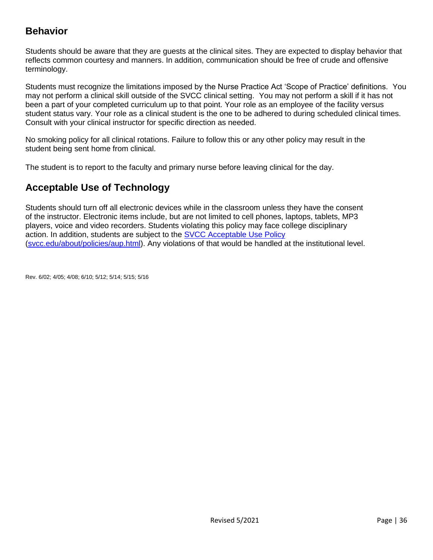# <span id="page-35-0"></span>**Behavior**

Students should be aware that they are guests at the clinical sites. They are expected to display behavior that reflects common courtesy and manners. In addition, communication should be free of crude and offensive terminology.

Students must recognize the limitations imposed by the Nurse Practice Act 'Scope of Practice' definitions. You may not perform a clinical skill outside of the SVCC clinical setting. You may not perform a skill if it has not been a part of your completed curriculum up to that point. Your role as an employee of the facility versus student status vary. Your role as a clinical student is the one to be adhered to during scheduled clinical times. Consult with your clinical instructor for specific direction as needed.

No smoking policy for all clinical rotations. Failure to follow this or any other policy may result in the student being sent home from clinical.

<span id="page-35-1"></span>The student is to report to the faculty and primary nurse before leaving clinical for the day.

# **Acceptable Use of Technology**

Students should turn off all electronic devices while in the classroom unless they have the consent of the instructor. Electronic items include, but are not limited to cell phones, laptops, tablets, MP3 players, voice and video recorders. Students violating this policy may face college disciplinary action. In addition, students are subject to the [SVCC Acceptable Use Policy](https://www.svcc.edu/about/policies/aup.html) [\(svcc.edu/about/policies/aup.html\)](http://svcc.edu/about/policies/aup.html). Any violations of that would be handled at the institutional level.

Rev. 6/02; 4/05; 4/08; 6/10; 5/12; 5/14; 5/15; 5/16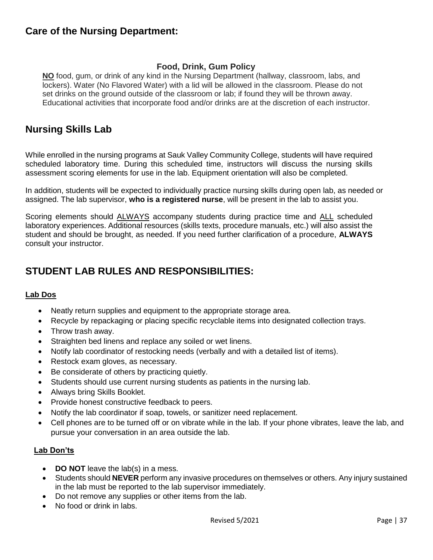### <span id="page-36-0"></span>**Care of the Nursing Department:**

#### **Food, Drink, Gum Policy**

**NO** food, gum, or drink of any kind in the Nursing Department (hallway, classroom, labs, and lockers). Water (No Flavored Water) with a lid will be allowed in the classroom. Please do not set drinks on the ground outside of the classroom or lab; if found they will be thrown away. Educational activities that incorporate food and/or drinks are at the discretion of each instructor.

### <span id="page-36-1"></span>**Nursing Skills Lab**

While enrolled in the nursing programs at Sauk Valley Community College, students will have required scheduled laboratory time. During this scheduled time, instructors will discuss the nursing skills assessment scoring elements for use in the lab. Equipment orientation will also be completed.

In addition, students will be expected to individually practice nursing skills during open lab, as needed or assigned. The lab supervisor, **who is a registered nurse**, will be present in the lab to assist you.

Scoring elements should **ALWAYS** accompany students during practice time and ALL scheduled laboratory experiences. Additional resources (skills texts, procedure manuals, etc.) will also assist the student and should be brought, as needed. If you need further clarification of a procedure, **ALWAYS**  consult your instructor.

# <span id="page-36-2"></span>**STUDENT LAB RULES AND RESPONSIBILITIES:**

#### **Lab Dos**

- Neatly return supplies and equipment to the appropriate storage area.
- Recycle by repackaging or placing specific recyclable items into designated collection trays.
- Throw trash away.
- Straighten bed linens and replace any soiled or wet linens.
- Notify lab coordinator of restocking needs (verbally and with a detailed list of items).
- Restock exam gloves, as necessary.
- Be considerate of others by practicing quietly.
- Students should use current nursing students as patients in the nursing lab.
- Always bring Skills Booklet.
- Provide honest constructive feedback to peers.
- Notify the lab coordinator if soap, towels, or sanitizer need replacement.
- Cell phones are to be turned off or on vibrate while in the lab. If your phone vibrates, leave the lab, and pursue your conversation in an area outside the lab.

#### **Lab Don'ts**

- **DO NOT** leave the lab(s) in a mess.
- Students should **NEVER** perform any invasive procedures on themselves or others. Any injury sustained in the lab must be reported to the lab supervisor immediately.
- Do not remove any supplies or other items from the lab.
- No food or drink in labs.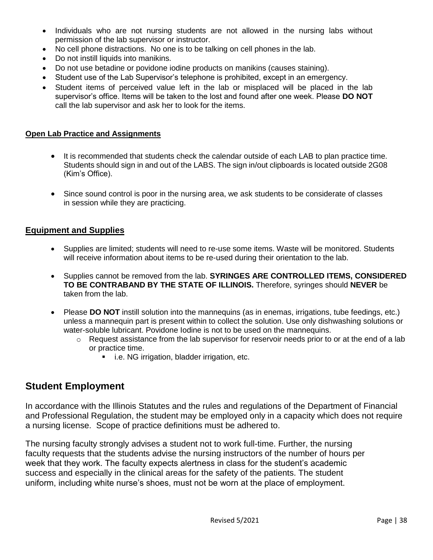- Individuals who are not nursing students are not allowed in the nursing labs without permission of the lab supervisor or instructor.
- No cell phone distractions. No one is to be talking on cell phones in the lab.
- Do not instill liquids into manikins.
- Do not use betadine or povidone iodine products on manikins (causes staining).
- Student use of the Lab Supervisor's telephone is prohibited, except in an emergency.
- Student items of perceived value left in the lab or misplaced will be placed in the lab supervisor's office. Items will be taken to the lost and found after one week. Please **DO NOT**  call the lab supervisor and ask her to look for the items.

#### **Open Lab Practice and Assignments**

- It is recommended that students check the calendar outside of each LAB to plan practice time. Students should sign in and out of the LABS. The sign in/out clipboards is located outside 2G08 (Kim's Office).
- Since sound control is poor in the nursing area, we ask students to be considerate of classes in session while they are practicing.

#### **Equipment and Supplies**

- Supplies are limited; students will need to re-use some items. Waste will be monitored. Students will receive information about items to be re-used during their orientation to the lab.
- Supplies cannot be removed from the lab. **SYRINGES ARE CONTROLLED ITEMS, CONSIDERED TO BE CONTRABAND BY THE STATE OF ILLINOIS.** Therefore, syringes should **NEVER** be taken from the lab.
- Please **DO NOT** instill solution into the mannequins (as in enemas, irrigations, tube feedings, etc.) unless a mannequin part is present within to collect the solution. Use only dishwashing solutions or water-soluble lubricant. Povidone Iodine is not to be used on the mannequins.
	- $\circ$  Request assistance from the lab supervisor for reservoir needs prior to or at the end of a lab or practice time.
		- i.e. NG irrigation, bladder irrigation, etc.

#### <span id="page-37-0"></span>**Student Employment**

In accordance with the Illinois Statutes and the rules and regulations of the Department of Financial and Professional Regulation, the student may be employed only in a capacity which does not require a nursing license. Scope of practice definitions must be adhered to.

The nursing faculty strongly advises a student not to work full-time. Further, the nursing faculty requests that the students advise the nursing instructors of the number of hours per week that they work. The faculty expects alertness in class for the student's academic success and especially in the clinical areas for the safety of the patients. The student uniform, including white nurse's shoes, must not be worn at the place of employment.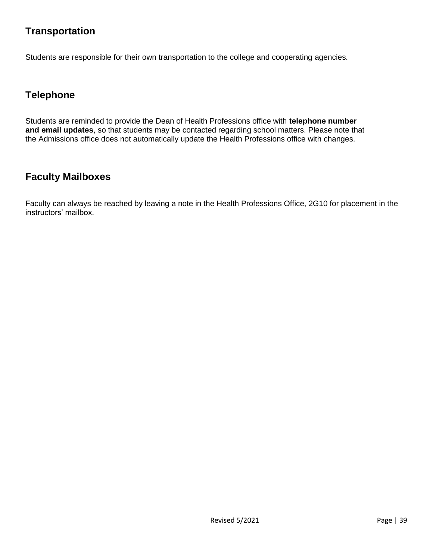# <span id="page-38-0"></span>**Transportation**

Students are responsible for their own transportation to the college and cooperating agencies.

# <span id="page-38-1"></span>**Telephone**

Students are reminded to provide the Dean of Health Professions office with **telephone number and email updates**, so that students may be contacted regarding school matters. Please note that the Admissions office does not automatically update the Health Professions office with changes.

# <span id="page-38-2"></span>**Faculty Mailboxes**

Faculty can always be reached by leaving a note in the Health Professions Office, 2G10 for placement in the instructors' mailbox.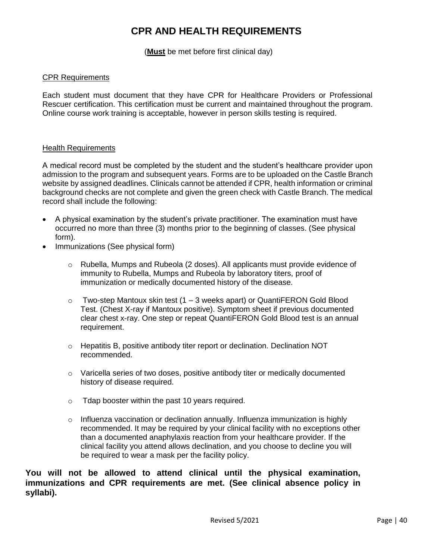# **CPR AND HEALTH REQUIREMENTS**

(**Must** be met before first clinical day)

#### <span id="page-39-0"></span>CPR Requirements

Each student must document that they have CPR for Healthcare Providers or Professional Rescuer certification. This certification must be current and maintained throughout the program. Online course work training is acceptable, however in person skills testing is required.

#### **Health Requirements**

A medical record must be completed by the student and the student's healthcare provider upon admission to the program and subsequent years. Forms are to be uploaded on the Castle Branch website by assigned deadlines. Clinicals cannot be attended if CPR, health information or criminal background checks are not complete and given the green check with Castle Branch. The medical record shall include the following:

- A physical examination by the student's private practitioner. The examination must have occurred no more than three (3) months prior to the beginning of classes. (See physical form).
- Immunizations (See physical form)
	- $\circ$  Rubella, Mumps and Rubeola (2 doses). All applicants must provide evidence of immunity to Rubella, Mumps and Rubeola by laboratory titers, proof of immunization or medically documented history of the disease.
	- $\circ$  Two-step Mantoux skin test (1 3 weeks apart) or QuantiFERON Gold Blood Test. (Chest X-ray if Mantoux positive). Symptom sheet if previous documented clear chest x-ray. One step or repeat QuantiFERON Gold Blood test is an annual requirement.
	- o Hepatitis B, positive antibody titer report or declination. Declination NOT recommended.
	- $\circ$  Varicella series of two doses, positive antibody titer or medically documented history of disease required.
	- o Tdap booster within the past 10 years required.
	- $\circ$  Influenza vaccination or declination annually. Influenza immunization is highly recommended. It may be required by your clinical facility with no exceptions other than a documented anaphylaxis reaction from your healthcare provider. If the clinical facility you attend allows declination, and you choose to decline you will be required to wear a mask per the facility policy.

**You will not be allowed to attend clinical until the physical examination, immunizations and CPR requirements are met. (See clinical absence policy in syllabi).**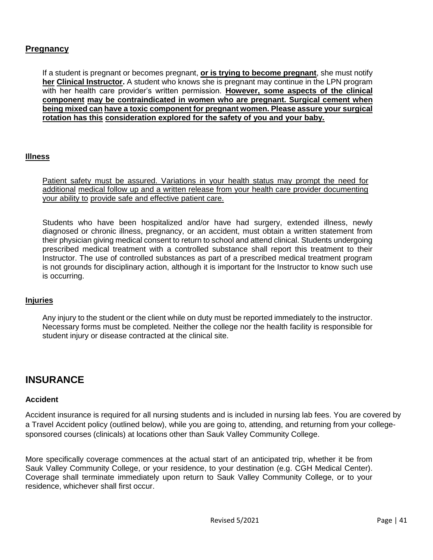#### **Pregnancy**

If a student is pregnant or becomes pregnant, **or is trying to become pregnant**, she must notify **her Clinical Instructor.** A student who knows she is pregnant may continue in the LPN program with her health care provider's written permission. **However, some aspects of the clinical component may be contraindicated in women who are pregnant. Surgical cement when being mixed can have a toxic component for pregnant women. Please assure your surgical rotation has this consideration explored for the safety of you and your baby.**

#### **Illness**

Patient safety must be assured. Variations in your health status may prompt the need for additional medical follow up and a written release from your health care provider documenting your ability to provide safe and effective patient care.

Students who have been hospitalized and/or have had surgery, extended illness, newly diagnosed or chronic illness, pregnancy, or an accident, must obtain a written statement from their physician giving medical consent to return to school and attend clinical. Students undergoing prescribed medical treatment with a controlled substance shall report this treatment to their Instructor. The use of controlled substances as part of a prescribed medical treatment program is not grounds for disciplinary action, although it is important for the Instructor to know such use is occurring.

#### **Injuries**

Any injury to the student or the client while on duty must be reported immediately to the instructor. Necessary forms must be completed. Neither the college nor the health facility is responsible for student injury or disease contracted at the clinical site.

#### <span id="page-40-0"></span>**INSURANCE**

#### **Accident**

Accident insurance is required for all nursing students and is included in nursing lab fees. You are covered by a Travel Accident policy (outlined below), while you are going to, attending, and returning from your collegesponsored courses (clinicals) at locations other than Sauk Valley Community College.

More specifically coverage commences at the actual start of an anticipated trip, whether it be from Sauk Valley Community College, or your residence, to your destination (e.g. CGH Medical Center). Coverage shall terminate immediately upon return to Sauk Valley Community College, or to your residence, whichever shall first occur.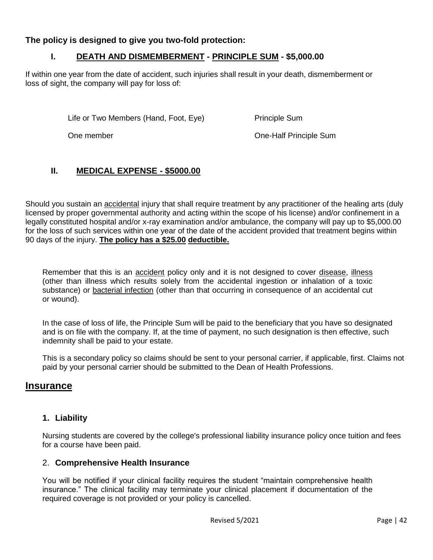#### **The policy is designed to give you two-fold protection:**

#### **I. DEATH AND DISMEMBERMENT - PRINCIPLE SUM - \$5,000.00**

If within one year from the date of accident, such injuries shall result in your death, dismemberment or loss of sight, the company will pay for loss of:

Life or Two Members (Hand, Foot, Eye) Principle Sum

One member One-Half Principle Sum

#### **II. MEDICAL EXPENSE - \$5000.00**

Should you sustain an accidental injury that shall require treatment by any practitioner of the healing arts (duly licensed by proper governmental authority and acting within the scope of his license) and/or confinement in a legally constituted hospital and/or x-ray examination and/or ambulance, the company will pay up to \$5,000.00 for the loss of such services within one year of the date of the accident provided that treatment begins within 90 days of the injury. **The policy has a \$25.00 deductible.**

Remember that this is an accident policy only and it is not designed to cover disease, illness (other than illness which results solely from the accidental ingestion or inhalation of a toxic substance) or bacterial infection (other than that occurring in consequence of an accidental cut or wound).

In the case of loss of life, the Principle Sum will be paid to the beneficiary that you have so designated and is on file with the company. If, at the time of payment, no such designation is then effective, such indemnity shall be paid to your estate.

This is a secondary policy so claims should be sent to your personal carrier, if applicable, first. Claims not paid by your personal carrier should be submitted to the Dean of Health Professions.

#### **Insurance**

#### **1. Liability**

Nursing students are covered by the college's professional liability insurance policy once tuition and fees for a course have been paid.

#### 2. **Comprehensive Health Insurance**

You will be notified if your clinical facility requires the student "maintain comprehensive health insurance." The clinical facility may terminate your clinical placement if documentation of the required coverage is not provided or your policy is cancelled.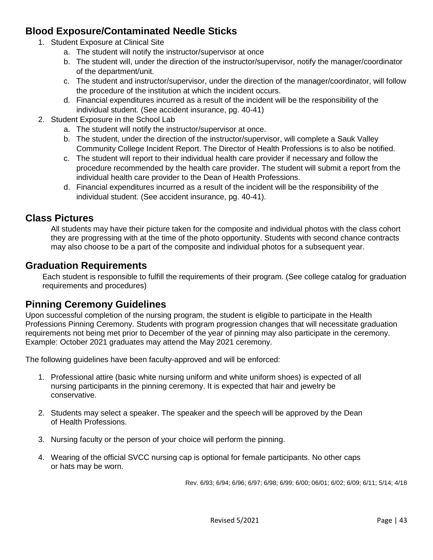# <span id="page-42-0"></span>**Blood Exposure/Contaminated Needle Sticks**

- 1. Student Exposure at Clinical Site
	- a. The student will notify the instructor/supervisor at once
	- b. The student will, under the direction of the instructor/supervisor, notify the manager/coordinator of the department/unit.
	- c. The student and instructor/supervisor, under the direction of the manager/coordinator, will follow the procedure of the institution at which the incident occurs.
	- d. Financial expenditures incurred as a result of the incident will be the responsibility of the individual student. (See accident insurance, pg. 40-41)
- 2. Student Exposure in the School Lab
	- a. The student will notify the instructor/supervisor at once.
	- b. The student, under the direction of the instructor/supervisor, will complete a Sauk Valley Community College Incident Report. The Director of Health Professions is to also be notified.
	- c. The student will report to their individual health care provider if necessary and follow the procedure recommended by the health care provider. The student will submit a report from the individual health care provider to the Dean of Health Professions.
	- d. Financial expenditures incurred as a result of the incident will be the responsibility of the individual student. (See accident insurance, pg. 40-41).

# <span id="page-42-1"></span>**Class Pictures**

All students may have their picture taken for the composite and individual photos with the class cohort they are progressing with at the time of the photo opportunity. Students with second chance contracts may also choose to be a part of the composite and individual photos for a subsequent year.

### <span id="page-42-2"></span>**Graduation Requirements**

Each student is responsible to fulfill the requirements of their program. (See college catalog for graduation requirements and procedures)

# <span id="page-42-3"></span>**Pinning Ceremony Guidelines**

Upon successful completion of the nursing program, the student is eligible to participate in the Health Professions Pinning Ceremony. Students with program progression changes that will necessitate graduation requirements not being met prior to December of the year of pinning may also participate in the ceremony. Example: October 2021 graduates may attend the May 2021 ceremony.

The following guidelines have been faculty-approved and will be enforced:

- 1. Professional attire (basic white nursing uniform and white uniform shoes) is expected of all nursing participants in the pinning ceremony. It is expected that hair and jewelry be conservative.
- 2. Students may select a speaker. The speaker and the speech will be approved by the Dean of Health Professions.
- 3. Nursing faculty or the person of your choice will perform the pinning.
- 4. Wearing of the official SVCC nursing cap is optional for female participants. No other caps or hats may be worn.

Rev. 6/93; 6/94; 6/96; 6/97; 6/98; 6/99; 6/00; 06/01; 6/02; 6/09; 6/11; 5/14; 4/18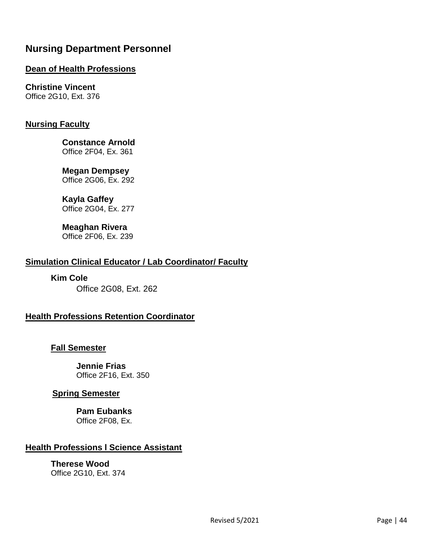# <span id="page-43-0"></span>**Nursing Department Personnel**

#### **Dean of Health Professions**

# **Christine Vincent**

Office 2G10, Ext. 376

#### **Nursing Faculty**

**Constance Arnold** Office 2F04, Ex. 361

### **Megan Dempsey**

Office 2G06, Ex. 292

#### **Kayla Gaffey**

Office 2G04, Ex. 277

#### **Meaghan Rivera** Office 2F06, Ex. 239

#### **Simulation Clinical Educator / Lab Coordinator/ Faculty**

**Kim Cole**  Office 2G08, Ext. 262

#### **Health Professions Retention Coordinator**

#### **Fall Semester**

**Jennie Frias** Office 2F16, Ext. 350

#### **Spring Semester**

**Pam Eubanks** Office 2F08, Ex.

#### **Health Professions l Science Assistant**

**Therese Wood** Office 2G10, Ext. 374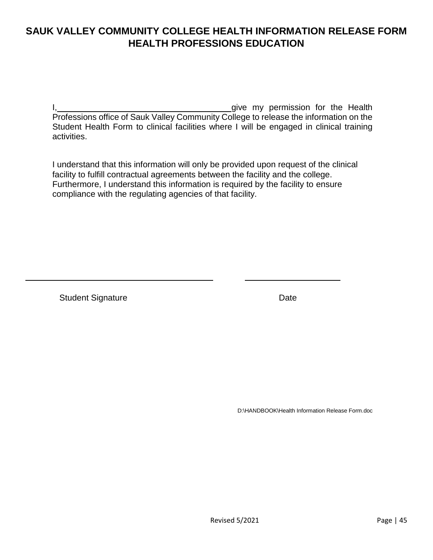# <span id="page-44-0"></span>**SAUK VALLEY COMMUNITY COLLEGE HEALTH INFORMATION RELEASE FORM HEALTH PROFESSIONS EDUCATION**

I, I. Government and the Health in the Health state of the Health in the Health in the Health in the Health in the Health Professions office of Sauk Valley Community College to release the information on the Student Health Form to clinical facilities where I will be engaged in clinical training activities.

I understand that this information will only be provided upon request of the clinical facility to fulfill contractual agreements between the facility and the college. Furthermore, I understand this information is required by the facility to ensure compliance with the regulating agencies of that facility.

Student Signature Date Date

D:\HANDBOOK\Health Information Release Form.doc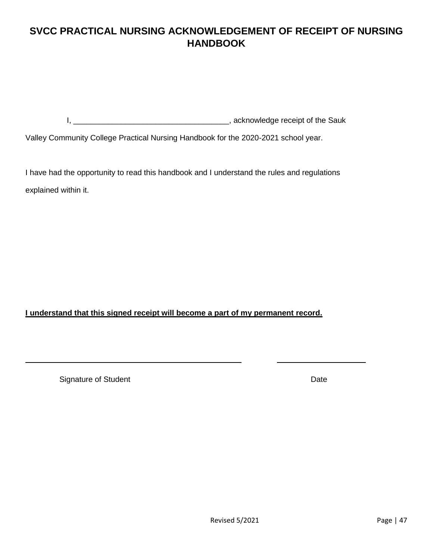# <span id="page-46-0"></span>**SVCC PRACTICAL NURSING ACKNOWLEDGEMENT OF RECEIPT OF NURSING HANDBOOK**

I, \_\_\_\_\_\_\_\_\_\_\_\_\_\_\_\_\_\_\_\_\_\_\_\_\_\_\_\_\_\_\_\_\_\_\_\_, acknowledge receipt of the Sauk

Valley Community College Practical Nursing Handbook for the 2020-2021 school year.

I have had the opportunity to read this handbook and I understand the rules and regulations explained within it.

**I understand that this signed receipt will become a part of my permanent record.**

Signature of Student **Date**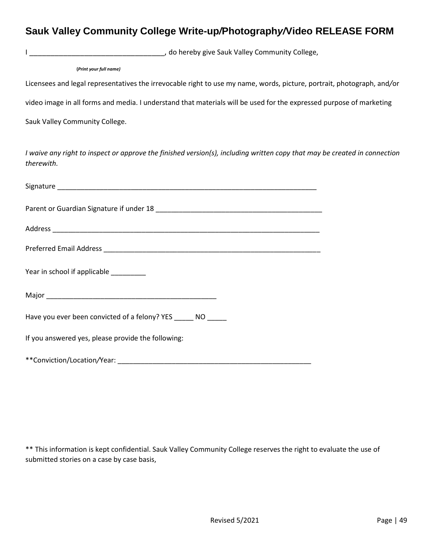### <span id="page-48-0"></span>**Sauk Valley Community College Write-up***/***Photograph***y/***Video RELEASE FORM**

I \_\_\_\_\_\_\_\_\_\_\_\_\_\_\_\_\_\_\_\_\_\_\_\_\_\_\_\_\_\_\_\_, do hereby give Sauk Valley Community College,

……................**.(***Print your full name)* 

Licensees and legal representatives the irrevocable right to use my name, words, picture, portrait, photograph, and*/*or

video image in all forms and media. I understand that materials will be used for the expressed purpose of marketing

Sauk Valley Community College.

*I waive any right to inspect or approve the finished version(s), including written copy that may be created in connection therewith.*

| Year in school if applicable ________                                                                                                                                                                                          |  |  |  |  |
|--------------------------------------------------------------------------------------------------------------------------------------------------------------------------------------------------------------------------------|--|--|--|--|
|                                                                                                                                                                                                                                |  |  |  |  |
| Have you ever been convicted of a felony? YES _______ NO ______                                                                                                                                                                |  |  |  |  |
| If you answered yes, please provide the following:                                                                                                                                                                             |  |  |  |  |
| **Conviction/Location/Year: example and a series of the series of the series of the series of the series of the series of the series of the series of the series of the series of the series of the series of the series of th |  |  |  |  |

\*\* This information is kept confidential. Sauk Valley Community College reserves the right to evaluate the use of submitted stories on a case by case basis,